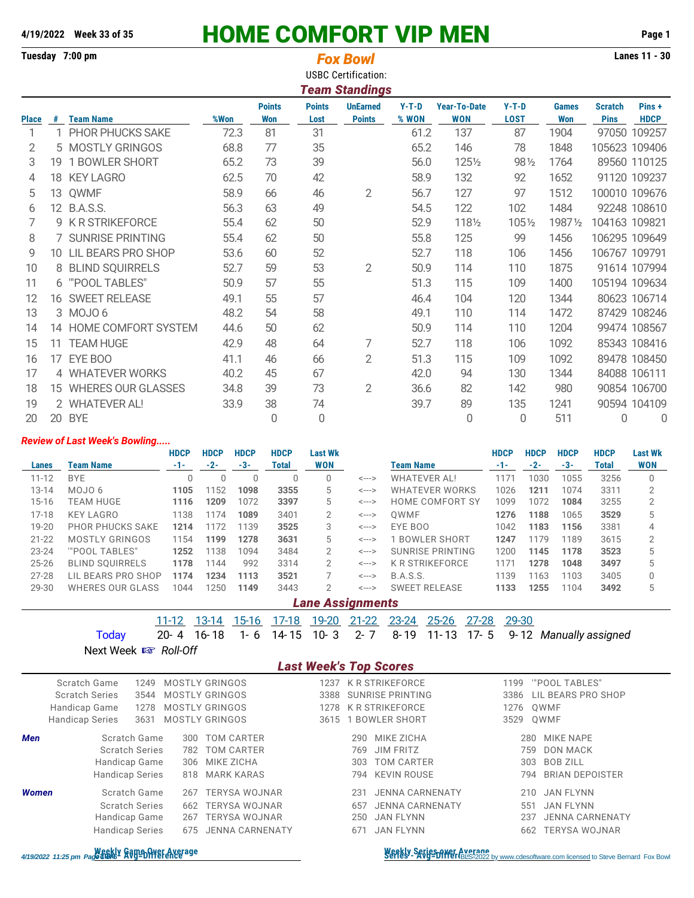# **4/19/2022 Week 33 of 35** HOME COMFORT VIP MEN **Page 1**

|              |    | Lanes 11 - 30<br>Tuesday 7:00 pm<br><b>Fox Bowl</b><br><b>USBC Certification:</b><br><b>Team Standings</b> |      |               |               |                 |         |                     |             |              |                |               |  |  |  |
|--------------|----|------------------------------------------------------------------------------------------------------------|------|---------------|---------------|-----------------|---------|---------------------|-------------|--------------|----------------|---------------|--|--|--|
|              |    |                                                                                                            |      | <b>Points</b> | <b>Points</b> | <b>UnEarned</b> | $Y-T-D$ | <b>Year-To-Date</b> | $Y-T-D$     | <b>Games</b> | <b>Scratch</b> | Pins+         |  |  |  |
| <b>Place</b> | #  | <b>Team Name</b>                                                                                           | %Won | <b>Won</b>    | Lost          | <b>Points</b>   | % WON   | <b>WON</b>          | <b>LOST</b> | <b>Won</b>   | <b>Pins</b>    | <b>HDCP</b>   |  |  |  |
|              |    | PHOR PHUCKS SAKE                                                                                           | 72.3 | 81            | 31            |                 | 61.2    | 137                 | 87          | 1904         |                | 97050 109257  |  |  |  |
| 2            |    | 5 MOSTLY GRINGOS                                                                                           | 68.8 | 77            | 35            |                 | 65.2    | 146                 | 78          | 1848         |                | 105623 109406 |  |  |  |
| 3            | 19 | 1 BOWLER SHORT                                                                                             | 65.2 | 73            | 39            |                 | 56.0    | 1251/2              | 98 1/2      | 1764         |                | 89560 110125  |  |  |  |
| 4            |    | 18 KEY LAGRO                                                                                               | 62.5 | 70            | 42            |                 | 58.9    | 132                 | 92          | 1652         |                | 91120 109237  |  |  |  |
| 5            | 13 | QWMF                                                                                                       | 58.9 | 66            | 46            | 2               | 56.7    | 127                 | 97          | 1512         |                | 100010 109676 |  |  |  |
| 6            |    | 12 B.A.S.S.                                                                                                | 56.3 | 63            | 49            |                 | 54.5    | 122                 | 102         | 1484         |                | 92248 108610  |  |  |  |
| 7            |    | 9 K R STRIKEFORCE                                                                                          | 55.4 | 62            | 50            |                 | 52.9    | 1181/2              | $105\%$     | 19871/2      |                | 104163 109821 |  |  |  |
| 8            |    | <b>7 SUNRISE PRINTING</b>                                                                                  | 55.4 | 62            | 50            |                 | 55.8    | 125                 | 99          | 1456         |                | 106295 109649 |  |  |  |
| 9            | 10 | LIL BEARS PRO SHOP                                                                                         | 53.6 | 60            | 52            |                 | 52.7    | 118                 | 106         | 1456         |                | 106767 109791 |  |  |  |
| 10           | 8  | <b>BLIND SQUIRRELS</b>                                                                                     | 52.7 | 59            | 53            | 2               | 50.9    | 114                 | 110         | 1875         |                | 91614 107994  |  |  |  |
| 11           |    | 6 "POOL TABLES"                                                                                            | 50.9 | 57            | 55            |                 | 51.3    | 115                 | 109         | 1400         |                | 105194 109634 |  |  |  |
| 12           | 16 | <b>SWEET RELEASE</b>                                                                                       | 49.1 | 55            | 57            |                 | 46.4    | 104                 | 120         | 1344         |                | 80623 106714  |  |  |  |
| 13           |    | 3 MOJO 6                                                                                                   | 48.2 | 54            | 58            |                 | 49.1    | 110                 | 114         | 1472         |                | 87429 108246  |  |  |  |
| 14           | 14 | HOME COMFORT SYSTEM                                                                                        | 44.6 | 50            | 62            |                 | 50.9    | 114                 | 110         | 1204         |                | 99474 108567  |  |  |  |
| 15           | 11 | <b>TEAM HUGE</b>                                                                                           | 42.9 | 48            | 64            | 7               | 52.7    | 118                 | 106         | 1092         |                | 85343 108416  |  |  |  |
| 16           | 17 | EYE BOO                                                                                                    | 41.1 | 46            | 66            | $\overline{2}$  | 51.3    | 115                 | 109         | 1092         |                | 89478 108450  |  |  |  |
| 17           |    | 4 WHATEVER WORKS                                                                                           | 40.2 | 45            | 67            |                 | 42.0    | 94                  | 130         | 1344         |                | 84088 106111  |  |  |  |
| 18           |    | 15 WHERES OUR GLASSES                                                                                      | 34.8 | 39            | 73            | $\overline{2}$  | 36.6    | 82                  | 142         | 980          |                | 90854 106700  |  |  |  |
| 19           |    | 2 WHATEVER AL!                                                                                             | 33.9 | 38            | 74            |                 | 39.7    | 89                  | 135         | 1241         |                | 90594 104109  |  |  |  |
| 20           | 20 | <b>BYE</b>                                                                                                 |      | $\Omega$      | 0             |                 |         | 0                   | $\Omega$    | 511          | 0              | 0             |  |  |  |

#### *Review of Last Week's Bowling.....*

|           |                         | <b>HDCP</b> | <b>HDCP</b> | <b>HDCP</b> | <b>HDCP</b> | <b>Last Wk</b> |                            |                        | <b>HDCP</b> | <b>HDCP</b> | <b>HDCP</b> | <b>HDCP</b> | <b>Last Wk</b> |
|-----------|-------------------------|-------------|-------------|-------------|-------------|----------------|----------------------------|------------------------|-------------|-------------|-------------|-------------|----------------|
| Lanes     | <b>Team Name</b>        | -1-         | $-2-$       | -3-         | Total       | WON            |                            | Team Name              | -1-         | $-2-$       | $-3-$       | Total       | <b>WON</b>     |
| $11 - 12$ | <b>BYE</b>              |             |             |             |             |                | $\leftarrow$ $\rightarrow$ | <b>WHATEVER AL!</b>    | 1171        | 1030        | 1055        | 3256        |                |
| $13 - 14$ | MOJO 6                  | 1105        | 1152        | 1098        | 3355        | 5              | <--->                      | <b>WHATEVER WORKS</b>  | 1026        | 1211        | 1074        | 3311        | 2              |
| $15 - 16$ | TEAM HUGE               | 1116        | 1209        | 1072        | 3397        | 5              | $\leftarrow$ $\rightarrow$ | <b>HOME COMFORT SY</b> | 1099        | 1072        | 1084        | 3255        | 2              |
| $17 - 18$ | <b>KEY LAGRO</b>        | 1138        | 1174        | 1089        | 3401        | 2              | <--->                      | OWMF                   | 1276        | 1188        | 1065        | 3529        |                |
| 19-20     | <b>PHOR PHUCKS SAKE</b> | 1214        | 1172        | 1139        | 3525        | 3              | $\leftarrow$ $\rightarrow$ | EYE BOO                | 1042        | 1183        | 1156        | 3381        |                |
| $21 - 22$ | MOSTLY GRINGOS          | 1154        | 1199        | 1278        | 3631        | 5              | $\leftarrow$ $\rightarrow$ | <b>1 BOWLER SHORT</b>  | 1247        | 1179        | 1189        | 3615        | 2              |
| $23 - 24$ | "POOL TABLES"           | 1252        | 1138        | 1094        | 3484        | 2              | $\leftarrow$ $\rightarrow$ | SUNRISE PRINTING       | 1200        | 1145        | 1178        | 3523        |                |
| $25 - 26$ | <b>BLIND SOUIRRELS</b>  | 1178        | 1144        | 992         | 3314        | 2              | $\leftarrow$ $\rightarrow$ | <b>K R STRIKEFORCE</b> | 1171        | 1278        | 1048        | 3497        |                |
| $27 - 28$ | LIL BEARS PRO SHOP      | 1174        | 1234        | 1113        | 3521        |                | $\leftarrow$ $\rightarrow$ | <b>B.A.S.S.</b>        | 1139        | 1163        | 1103        | 3405        |                |
| 29-30     | <b>WHERES OUR GLASS</b> | 1044        | 1250        | 1149        | 3443        | 2              | <--->                      | <b>SWEET RELEASE</b>   | 1133        | 1255        | 1104        | 3492        |                |
|           | <b>Lane Assignments</b> |             |             |             |             |                |                            |                        |             |             |             |             |                |

11-12 13-14 15-16 17-18 19-20 21-22 23-24 25-26 27-28 29-30 Today 20- 4 16- 18 1- 6 14- 15 10- 3 2- 7 8- 19 11- 13 17- 5 9- 12 *Manually assigned*

### **Next Week**  $\mathbb{R}$ *Roll-Off*

|            | <b>Last Week's Top Scores</b>  |     |                        |      |                  |                        |      |                        |  |  |  |  |  |
|------------|--------------------------------|-----|------------------------|------|------------------|------------------------|------|------------------------|--|--|--|--|--|
|            | Scratch Game<br>1249           |     | MOSTLY GRINGOS         | 1237 |                  | <b>K R STRIKEFORCE</b> | 1199 | "POOL TABLES"          |  |  |  |  |  |
|            | <b>Scratch Series</b><br>3544  |     | MOSTLY GRINGOS         | 3388 | SUNRISE PRINTING |                        | 3386 | LIL BEARS PRO SHOP     |  |  |  |  |  |
|            | Handicap Game<br>1278          |     | MOSTLY GRINGOS         | 1278 |                  | <b>K R STRIKEFORCE</b> | 1276 | OWMF                   |  |  |  |  |  |
|            | <b>Handicap Series</b><br>3631 |     | MOSTLY GRINGOS         | 3615 |                  | 1 BOWLER SHORT         | 3529 | OWMF                   |  |  |  |  |  |
| <b>Men</b> | Scratch Game                   | 300 | TOM CARTER             |      | 290              | MIKE 7ICHA             | 280  | <b>MIKE NAPE</b>       |  |  |  |  |  |
|            | <b>Scratch Series</b>          | 782 | TOM CARTER             |      | 769              | <b>JIM FRITZ</b>       | 759  | <b>DON MACK</b>        |  |  |  |  |  |
|            | Handicap Game                  | 306 | MIKE ZICHA             |      | 303              | <b>TOM CARTER</b>      | 303  | <b>BOB ZILL</b>        |  |  |  |  |  |
|            | <b>Handicap Series</b>         | 818 | MARK KARAS             |      | 794              | KEVIN ROUSE            | 794  | <b>BRIAN DEPOISTER</b> |  |  |  |  |  |
| Women      | Scratch Game                   | 267 | TERYSA WOJNAR          |      | 231              | <b>JENNA CARNENATY</b> | 210  | JAN FLYNN              |  |  |  |  |  |
|            | <b>Scratch Series</b>          | 662 | TERYSA WOJNAR          |      | 657              | <b>JENNA CARNENATY</b> | 551  | <b>JAN FLYNN</b>       |  |  |  |  |  |
|            | Handicap Game                  | 267 | TERYSA WOJNAR          |      | 250              | JAN FLYNN              | 237  | <b>JENNA CARNENATY</b> |  |  |  |  |  |
|            | <b>Handicap Series</b>         | 675 | <b>JENNA CARNENATY</b> |      | 67               | JAN FLYNN              | 662  | <b>TERYSA WOJNAR</b>   |  |  |  |  |  |

atigs of the the state of the state of the state of the state of the state of the state of the state of the state of the state of the state of the state of the state of the state of the state of the state of the state of t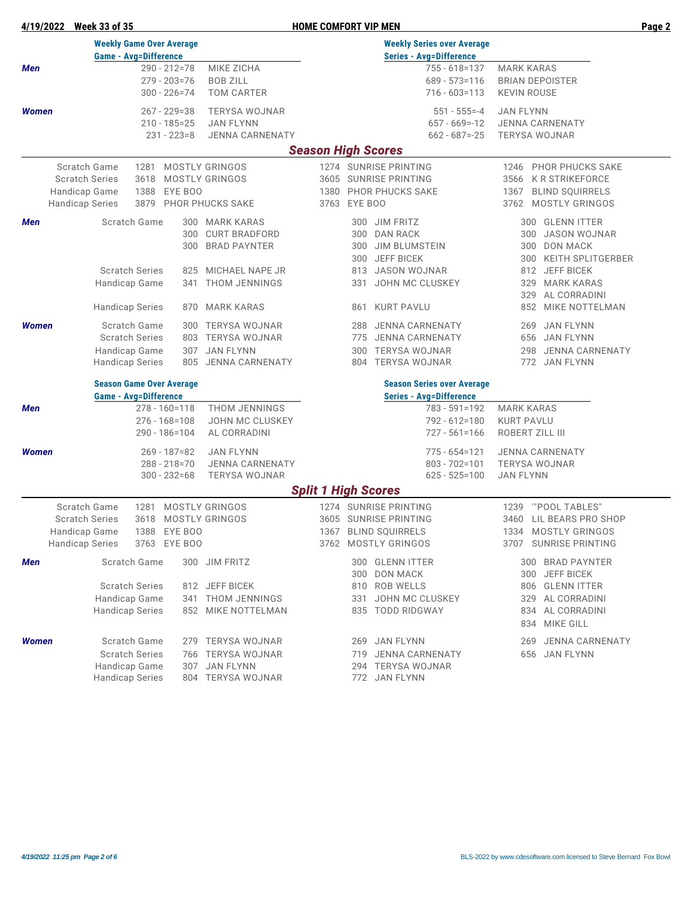## **4/19/2022 Week 33 of 35 HOME COMFORT VIP MEN Page 2**

|       | <b>Weekly Game Over Average</b> |                                 |      |                  |                                       | <b>Weekly Series over Average</b> |                   |                                    |                                             |                                      |  |  |  |  |
|-------|---------------------------------|---------------------------------|------|------------------|---------------------------------------|-----------------------------------|-------------------|------------------------------------|---------------------------------------------|--------------------------------------|--|--|--|--|
|       |                                 | <b>Game - Avg=Difference</b>    |      |                  |                                       |                                   |                   | <b>Series - Avg=Difference</b>     |                                             |                                      |  |  |  |  |
| Men   |                                 |                                 |      | $290 - 212 = 78$ | MIKE ZICHA                            |                                   |                   | 755 - 618=137                      | <b>MARK KARAS</b>                           |                                      |  |  |  |  |
|       |                                 |                                 |      | $279 - 203 = 76$ | <b>BOB ZILL</b>                       |                                   |                   | $689 - 573 = 116$                  | <b>BRIAN DEPOISTER</b>                      |                                      |  |  |  |  |
|       |                                 |                                 |      | $300 - 226 = 74$ | <b>TOM CARTER</b>                     |                                   |                   | $716 - 603 = 113$                  | <b>KEVIN ROUSE</b>                          |                                      |  |  |  |  |
| Women |                                 |                                 |      | $267 - 229 = 38$ | <b>TERYSA WOJNAR</b>                  |                                   |                   | $551 - 555 = -4$                   | <b>JAN FLYNN</b>                            |                                      |  |  |  |  |
|       |                                 |                                 |      | $210 - 185 = 25$ | <b>JAN FLYNN</b>                      |                                   |                   | $657 - 669 = -12$                  |                                             | <b>JENNA CARNENATY</b>               |  |  |  |  |
|       |                                 |                                 |      | 231 - 223=8      | <b>JENNA CARNENATY</b>                |                                   |                   | $662 - 687 = -25$                  | <b>TERYSA WOJNAR</b>                        |                                      |  |  |  |  |
|       |                                 |                                 |      |                  |                                       | <b>Season High Scores</b>         |                   |                                    |                                             |                                      |  |  |  |  |
|       | Scratch Game                    |                                 |      |                  | 1281 MOSTLY GRINGOS                   |                                   |                   | 1274 SUNRISE PRINTING              |                                             | 1246 PHOR PHUCKS SAKE                |  |  |  |  |
|       | <b>Scratch Series</b>           |                                 | 3618 |                  | MOSTLY GRINGOS                        |                                   |                   | 3605 SUNRISE PRINTING              |                                             |                                      |  |  |  |  |
|       | Handicap Game                   |                                 | 1388 | EYE BOO          |                                       |                                   |                   | 1380 PHOR PHUCKS SAKE              | 3566 K R STRIKEFORCE                        |                                      |  |  |  |  |
|       | <b>Handicap Series</b>          |                                 |      |                  | 3763 EYE BOO<br>3879 PHOR PHUCKS SAKE |                                   |                   |                                    | 1367 BLIND SQUIRRELS<br>3762 MOSTLY GRINGOS |                                      |  |  |  |  |
|       |                                 |                                 |      |                  |                                       |                                   |                   |                                    |                                             |                                      |  |  |  |  |
| Men   |                                 | Scratch Game                    |      |                  | 300 MARK KARAS                        |                                   |                   | 300 JIM FRITZ                      |                                             | 300 GLENN ITTER                      |  |  |  |  |
|       |                                 |                                 |      | 300              | <b>CURT BRADFORD</b>                  |                                   | 300               | <b>DAN RACK</b>                    |                                             | 300 JASON WOJNAR                     |  |  |  |  |
|       |                                 |                                 |      |                  | 300 BRAD PAYNTER                      |                                   | 300               | <b>JIM BLUMSTEIN</b>               |                                             | 300 DON MACK                         |  |  |  |  |
|       |                                 |                                 |      |                  |                                       |                                   | 300               | <b>JEFF BICEK</b>                  |                                             | 300 KEITH SPLITGERBER                |  |  |  |  |
|       |                                 | <b>Scratch Series</b>           |      |                  | 825 MICHAEL NAPE JR                   |                                   |                   | 813 JASON WOJNAR                   |                                             | 812 JEFF BICEK                       |  |  |  |  |
|       |                                 | Handicap Game                   |      |                  | 341 THOM JENNINGS                     |                                   | 331               | JOHN MC CLUSKEY                    | 329                                         | MARK KARAS                           |  |  |  |  |
|       |                                 |                                 |      |                  |                                       |                                   |                   |                                    | 329                                         | AL CORRADINI                         |  |  |  |  |
|       |                                 | <b>Handicap Series</b>          |      |                  | 870 MARK KARAS                        |                                   | 861               | KURT PAVLU                         |                                             | 852 MIKE NOTTELMAN                   |  |  |  |  |
| Women |                                 | Scratch Game                    |      |                  | 300 TERYSA WOJNAR                     |                                   | 288               | <b>JENNA CARNENATY</b>             | 269                                         | JAN FLYNN                            |  |  |  |  |
|       |                                 | <b>Scratch Series</b>           |      |                  | 803 TERYSA WOJNAR                     |                                   | 775               | <b>JENNA CARNENATY</b>             |                                             | 656 JAN FLYNN                        |  |  |  |  |
|       |                                 | Handicap Game                   |      |                  | 307 JAN FLYNN                         |                                   | 300               | <b>TERYSA WOJNAR</b>               |                                             | 298 JENNA CARNENATY                  |  |  |  |  |
|       |                                 | <b>Handicap Series</b>          |      |                  | 805 JENNA CARNENATY                   |                                   |                   | 804 TERYSA WOJNAR                  |                                             | 772 JAN FLYNN                        |  |  |  |  |
|       |                                 |                                 |      |                  |                                       |                                   |                   |                                    |                                             |                                      |  |  |  |  |
|       |                                 | <b>Season Game Over Average</b> |      |                  |                                       |                                   |                   | <b>Season Series over Average</b>  |                                             |                                      |  |  |  |  |
|       |                                 | <b>Game - Avg=Difference</b>    |      |                  |                                       |                                   |                   | <b>Series - Avg=Difference</b>     |                                             |                                      |  |  |  |  |
| Men   |                                 |                                 |      | 278 - 160=118    | THOM JENNINGS                         |                                   |                   | 783 - 591=192                      | <b>MARK KARAS</b>                           |                                      |  |  |  |  |
|       |                                 |                                 |      | 276 - 168=108    | JOHN MC CLUSKEY                       |                                   |                   | 792 - 612=180                      | <b>KURT PAVLU</b>                           |                                      |  |  |  |  |
|       |                                 |                                 |      | 290 - 186=104    | AL CORRADINI                          |                                   |                   | $727 - 561 = 166$                  | ROBERT ZILL III                             |                                      |  |  |  |  |
| Women |                                 |                                 |      | $269 - 187 = 82$ | <b>JAN FLYNN</b>                      |                                   |                   | 775 - 654=121                      |                                             | <b>JENNA CARNENATY</b>               |  |  |  |  |
|       |                                 |                                 |      | 288 - 218 = 70   | <b>JENNA CARNENATY</b>                |                                   |                   | $803 - 702 = 101$                  | <b>TERYSA WOJNAR</b>                        |                                      |  |  |  |  |
|       |                                 |                                 |      | $300 - 232 = 68$ | <b>TERYSA WOJNAR</b>                  |                                   |                   | $625 - 525 = 100$                  | <b>JAN FLYNN</b>                            |                                      |  |  |  |  |
|       |                                 |                                 |      |                  |                                       | <b>Split 1 High Scores</b>        |                   |                                    |                                             |                                      |  |  |  |  |
|       | Scratch Game                    |                                 |      |                  | 1281 MOSTLY GRINGOS                   |                                   |                   | 1274 SUNRISE PRINTING              | 1239                                        | "POOL TABLES"                        |  |  |  |  |
|       | <b>Scratch Series</b>           |                                 |      |                  | 3618 MOSTLY GRINGOS                   |                                   |                   | 3605 SUNRISE PRINTING              |                                             | 3460 LIL BEARS PRO SHOP              |  |  |  |  |
|       | Handicap Game                   |                                 |      | 1388 EYE BOO     |                                       |                                   |                   | 1367 BLIND SQUIRRELS               |                                             | 1334 MOSTLY GRINGOS                  |  |  |  |  |
|       | <b>Handicap Series</b>          |                                 |      | 3763 EYE BOO     |                                       |                                   |                   | 3762 MOSTLY GRINGOS                |                                             | 3707 SUNRISE PRINTING                |  |  |  |  |
|       |                                 |                                 |      |                  |                                       |                                   |                   |                                    |                                             |                                      |  |  |  |  |
| Men   |                                 | Scratch Game                    |      |                  | 300 JIM FRITZ                         |                                   |                   | 300 GLENN ITTER<br><b>DON MACK</b> |                                             | 300 BRAD PAYNTER                     |  |  |  |  |
|       |                                 | <b>Scratch Series</b>           |      |                  | 812 JEFF BICEK                        |                                   | 300<br>810        | <b>ROB WELLS</b>                   | 300                                         | <b>JEFF BICEK</b><br>806 GLENN ITTER |  |  |  |  |
|       |                                 | Handicap Game                   |      |                  | 341 THOM JENNINGS                     |                                   | 331               | JOHN MC CLUSKEY                    | 329                                         | AL CORRADINI                         |  |  |  |  |
|       |                                 | <b>Handicap Series</b>          |      |                  | 852 MIKE NOTTELMAN                    |                                   |                   | 835 TODD RIDGWAY                   |                                             | 834 AL CORRADINI                     |  |  |  |  |
|       |                                 |                                 |      |                  |                                       |                                   |                   |                                    | 834                                         | MIKE GILL                            |  |  |  |  |
|       |                                 |                                 |      |                  |                                       |                                   |                   |                                    |                                             |                                      |  |  |  |  |
| Women |                                 | Scratch Game                    |      |                  | 279 TERYSA WOJNAR                     |                                   |                   | 269 JAN FLYNN                      | 269                                         | JENNA CARNENATY                      |  |  |  |  |
|       |                                 | <b>Scratch Series</b>           |      |                  | 766 TERYSA WOJNAR                     |                                   | 719               | <b>JENNA CARNENATY</b>             |                                             | 656 JAN FLYNN                        |  |  |  |  |
|       |                                 | Handicap Game                   |      | 307 JAN FLYNN    |                                       |                                   | 294 TERYSA WOJNAR |                                    |                                             |                                      |  |  |  |  |
|       |                                 | <b>Handicap Series</b>          |      |                  | 804 TERYSA WOJNAR                     |                                   |                   | 772 JAN FLYNN                      |                                             |                                      |  |  |  |  |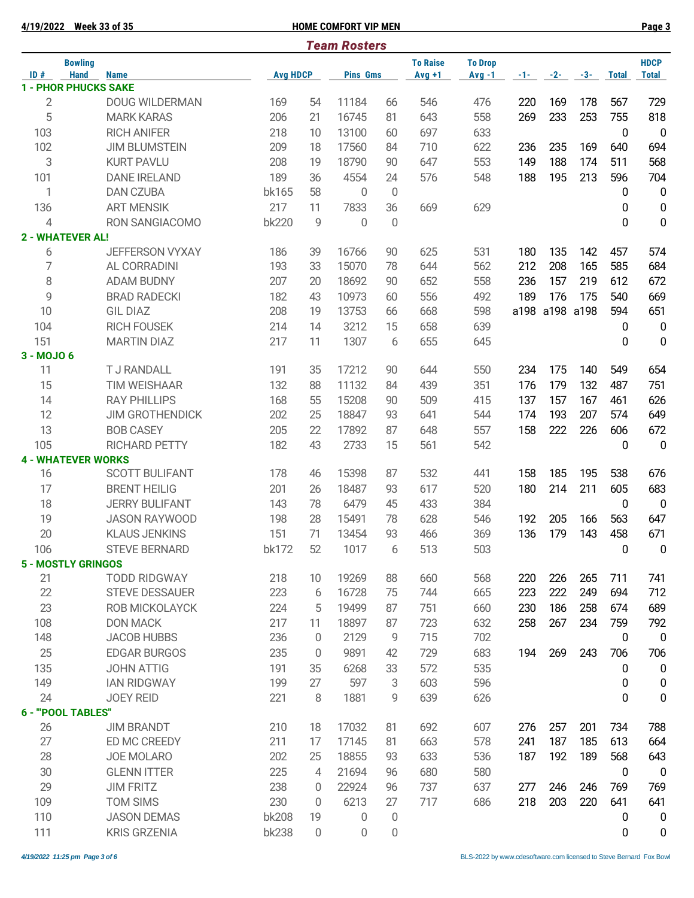| 4/19/2022      | Week 33 of 35                                |              |                   | <b>HOME COMFORT VIP MEN</b> |                  |                             |                            |            |            |            |              | Page 3                      |
|----------------|----------------------------------------------|--------------|-------------------|-----------------------------|------------------|-----------------------------|----------------------------|------------|------------|------------|--------------|-----------------------------|
|                |                                              |              |                   | <b>Team Rosters</b>         |                  |                             |                            |            |            |            |              |                             |
| ID#            | <b>Bowling</b><br><b>Hand</b><br><b>Name</b> |              | <b>Avg HDCP</b>   |                             |                  | <b>To Raise</b><br>$Avg +1$ | <b>To Drop</b><br>$Avg -1$ | $-1 -$     | $-2-$      | $-3-$      | <b>Total</b> | <b>HDCP</b><br><b>Total</b> |
|                | <b>1 - PHOR PHUCKS SAKE</b>                  |              |                   | <b>Pins Gms</b>             |                  |                             |                            |            |            |            |              |                             |
| $\overline{2}$ | <b>DOUG WILDERMAN</b>                        | 169          | 54                | 11184                       | 66               | 546                         | 476                        | 220        | 169        | 178        | 567          | 729                         |
| 5              | <b>MARK KARAS</b>                            | 206          | 21                | 16745                       | 81               | 643                         | 558                        | 269        | 233        | 253        | 755          | 818                         |
| 103            | <b>RICH ANIFER</b>                           | 218          | 10                | 13100                       | 60               | 697                         | 633                        |            |            |            | 0            | $\overline{0}$              |
| 102            | <b>JIM BLUMSTEIN</b>                         | 209          | 18                | 17560                       | 84               | 710                         | 622                        | 236        | 235        | 169        | 640          | 694                         |
| 3              | <b>KURT PAVLU</b>                            | 208          | 19                | 18790                       | 90               | 647                         | 553                        | 149        | 188        | 174        | 511          | 568                         |
| 101            | <b>DANE IRELAND</b>                          | 189          | 36                | 4554                        | 24               | 576                         | 548                        | 188        | 195        | 213        | 596          | 704                         |
| 1              | <b>DAN CZUBA</b>                             | bk165        | 58                | $\overline{0}$              | $\mathbf 0$      |                             |                            |            |            |            | 0            | $\mathbf 0$                 |
| 136            | <b>ART MENSIK</b>                            | 217          | 11                | 7833                        | 36               | 669                         | 629                        |            |            |            | 0            | $\pmb{0}$                   |
| 4              | RON SANGIACOMO                               | <b>bk220</b> | 9                 | $\Omega$                    | 0                |                             |                            |            |            |            | 0            | $\mathbf 0$                 |
|                | <b>2 - WHATEVER AL!</b>                      |              |                   |                             |                  |                             |                            |            |            |            |              |                             |
| 6              | <b>JEFFERSON VYXAY</b>                       | 186          | 39                | 16766                       | 90               | 625                         | 531                        | 180        | 135        | 142        | 457          | 574                         |
| 7              | AL CORRADINI                                 | 193          | 33                | 15070                       | 78               | 644                         | 562                        | 212        | 208        | 165        | 585          | 684                         |
| 8              | <b>ADAM BUDNY</b>                            | 207          | 20                | 18692                       | 90               | 652                         | 558                        | 236        | 157        | 219        | 612          | 672                         |
| 9              | <b>BRAD RADECKI</b>                          | 182          | 43                | 10973                       | 60               | 556                         | 492                        | 189        | 176        | 175        | 540          | 669                         |
| 10             | <b>GIL DIAZ</b>                              | 208          | 19                | 13753                       | 66               | 668                         | 598                        | a198       |            | a198 a198  | 594          | 651                         |
| 104            | <b>RICH FOUSEK</b>                           | 214          | 14                | 3212                        | 15               | 658                         | 639                        |            |            |            | 0            | $\mathbf 0$                 |
| 151            | <b>MARTIN DIAZ</b>                           | 217          | 11                | 1307                        | 6                | 655                         | 645                        |            |            |            | 0            | $\mathbf 0$                 |
| 3 - MOJO 6     |                                              |              |                   |                             |                  |                             |                            |            |            |            |              |                             |
| 11             | <b>TJ RANDALL</b>                            | 191          | 35                | 17212                       | 90               | 644                         | 550                        | 234        | 175        | 140        | 549          | 654                         |
| 15             | <b>TIM WEISHAAR</b>                          | 132          | 88                | 11132                       | 84               | 439                         | 351                        | 176        | 179        | 132        | 487          | 751                         |
| 14             | <b>RAY PHILLIPS</b>                          | 168          | 55                | 15208                       | 90               | 509                         | 415                        | 137        | 157        | 167        | 461          | 626                         |
| 12             | <b>JIM GROTHENDICK</b>                       | 202          | 25                | 18847                       | 93               | 641                         | 544                        | 174        | 193        | 207        | 574          | 649                         |
| 13             | <b>BOB CASEY</b>                             | 205          | 22                | 17892                       | 87               | 648                         | 557                        | 158        | 222        | 226        | 606          | 672                         |
| 105            | <b>RICHARD PETTY</b>                         | 182          | 43                | 2733                        | 15               | 561                         | 542                        |            |            |            | 0            | $\mathbf 0$                 |
|                | <b>4 - WHATEVER WORKS</b>                    |              |                   |                             |                  |                             |                            |            |            |            |              |                             |
| 16             | <b>SCOTT BULIFANT</b>                        | 178          | 46                | 15398                       | 87               | 532                         | 441                        | 158        | 185        | 195        | 538          | 676                         |
| 17             | <b>BRENT HEILIG</b>                          | 201          | 26                | 18487                       | 93               | 617                         | 520                        | 180        | 214        | 211        | 605          | 683                         |
| 18             | <b>JERRY BULIFANT</b>                        | 143          | 78                | 6479                        | 45               | 433                         | 384                        |            |            |            | 0            | $\overline{0}$              |
| 19             | <b>JASON RAYWOOD</b>                         | 198          | 28                | 15491                       | 78               | 628                         | 546                        | 192        | 205        | 166        | 563          | 647                         |
| 20             | <b>KLAUS JENKINS</b>                         | 151          | 71                | 13454                       | 93               | 466                         | 369                        | 136        | 179        | 143        | 458          | 671                         |
| 106            | <b>STEVE BERNARD</b>                         | bk172        | 52                | 1017                        | 6                | 513                         | 503                        |            |            |            | 0            | $\boldsymbol{0}$            |
|                | <b>5 - MOSTLY GRINGOS</b>                    |              |                   |                             |                  |                             |                            |            |            |            |              |                             |
| 21<br>22       | <b>TODD RIDGWAY</b>                          | 218<br>223   | 10                | 19269<br>16728              | 88<br>75         | 660<br>744                  | 568<br>665                 | 220<br>223 | 226<br>222 | 265<br>249 | 711<br>694   | 741<br>712                  |
| 23             | <b>STEVE DESSAUER</b>                        |              | 6                 | 19499                       |                  |                             |                            |            |            |            |              |                             |
|                | ROB MICKOLAYCK<br><b>DON MACK</b>            | 224<br>217   | 5                 | 18897                       | 87               | 751                         | 660                        | 230        | 186<br>267 | 258        | 674<br>759   | 689                         |
| 108<br>148     | <b>JACOB HUBBS</b>                           | 236          | 11<br>$\mathbf 0$ | 2129                        | 87<br>9          | 723<br>715                  | 632<br>702                 | 258        |            | 234        | 0            | 792<br>$\mathbf 0$          |
| 25             | <b>EDGAR BURGOS</b>                          | 235          | 0                 | 9891                        | 42               | 729                         | 683                        | 194        | 269        | 243        | 706          | 706                         |
| 135            | <b>JOHN ATTIG</b>                            | 191          | 35                | 6268                        | 33               | 572                         | 535                        |            |            |            |              | 0                           |
| 149            | <b>IAN RIDGWAY</b>                           | 199          | 27                | 597                         | 3                | 603                         | 596                        |            |            |            | 0<br>0       | $\mathbf 0$                 |
| 24             | <b>JOEY REID</b>                             | 221          | 8                 | 1881                        | 9                | 639                         | 626                        |            |            |            | 0            | 0                           |
|                | 6 - "POOL TABLES"                            |              |                   |                             |                  |                             |                            |            |            |            |              |                             |
| 26             | <b>JIM BRANDT</b>                            | 210          | 18                | 17032                       | 81               | 692                         | 607                        | 276        | 257        | 201        | 734          | 788                         |
| 27             | ED MC CREEDY                                 | 211          | 17                | 17145                       | 81               | 663                         | 578                        | 241        | 187        | 185        | 613          | 664                         |
| 28             | JOE MOLARO                                   | 202          | 25                | 18855                       | 93               | 633                         | 536                        | 187        | 192        | 189        | 568          | 643                         |
| 30             | <b>GLENN ITTER</b>                           | 225          | 4                 | 21694                       | 96               | 680                         | 580                        |            |            |            | 0            | 0                           |
| 29             | <b>JIM FRITZ</b>                             | 238          | 0                 | 22924                       | 96               | 737                         | 637                        | 277        | 246        | 246        | 769          | 769                         |
| 109            | <b>TOM SIMS</b>                              | 230          | 0                 | 6213                        | 27               | 717                         | 686                        | 218        | 203        | 220        | 641          | 641                         |
| 110            | <b>JASON DEMAS</b>                           | <b>bk208</b> | 19                | 0                           | 0                |                             |                            |            |            |            | 0            | 0                           |
| 111            | <b>KRIS GRZENIA</b>                          | <b>bk238</b> | $\overline{0}$    | 0                           | $\boldsymbol{0}$ |                             |                            |            |            |            | 0            | 0                           |
|                |                                              |              |                   |                             |                  |                             |                            |            |            |            |              |                             |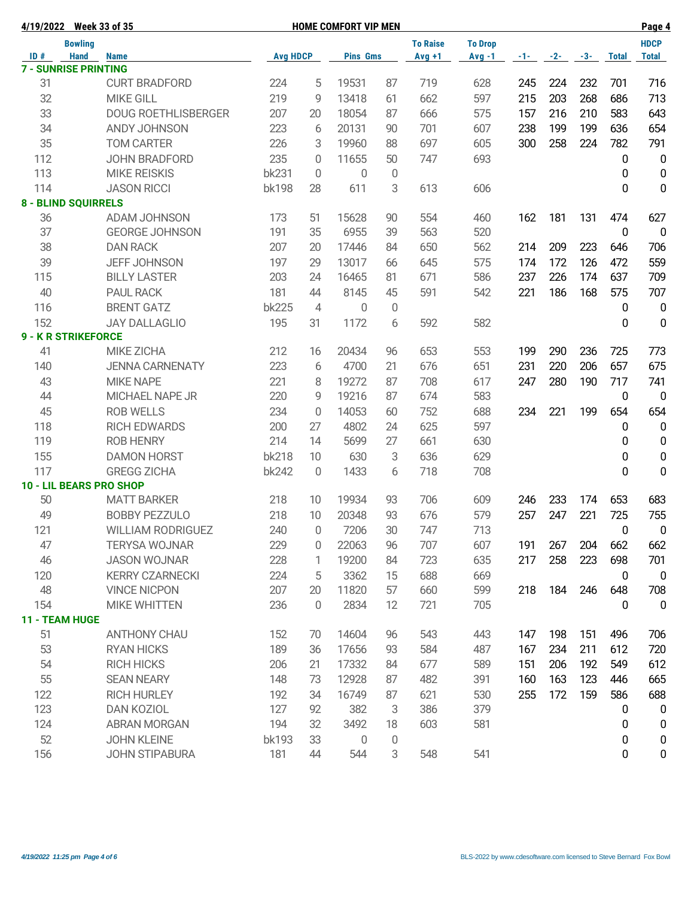|     | 4/19/2022 Week 33 of 35     |                                |                 |                     | <b>HOME COMFORT VIP MEN</b> |        |                 |                |     |               |       |                  | Page 4           |
|-----|-----------------------------|--------------------------------|-----------------|---------------------|-----------------------------|--------|-----------------|----------------|-----|---------------|-------|------------------|------------------|
|     | <b>Bowling</b>              |                                |                 |                     |                             |        | <b>To Raise</b> | <b>To Drop</b> |     |               |       |                  | <b>HDCP</b>      |
| ID# | <b>Hand</b>                 | <b>Name</b>                    | <b>Avg HDCP</b> |                     | <b>Pins Gms</b>             |        | $Avg +1$        | $Avg -1$       |     | $-1$ - $-2$ - | $-3-$ | <b>Total</b>     | <b>Total</b>     |
|     | <b>7 - SUNRISE PRINTING</b> |                                |                 |                     |                             |        |                 |                |     |               |       |                  |                  |
| 31  |                             | <b>CURT BRADFORD</b>           | 224             | 5                   | 19531                       | 87     | 719             | 628            | 245 | 224           | 232   | 701              | 716              |
| 32  |                             | <b>MIKE GILL</b>               | 219             | 9                   | 13418                       | 61     | 662             | 597            | 215 | 203           | 268   | 686              | 713              |
| 33  |                             | <b>DOUG ROETHLISBERGER</b>     | 207             | 20                  | 18054                       | 87     | 666             | 575            | 157 | 216           | 210   | 583              | 643              |
| 34  |                             | ANDY JOHNSON                   | 223             | 6                   | 20131                       | 90     | 701             | 607            | 238 | 199           | 199   | 636              | 654              |
| 35  |                             | <b>TOM CARTER</b>              | 226             | 3                   | 19960                       | 88     | 697             | 605            | 300 | 258           | 224   | 782              | 791              |
| 112 |                             | <b>JOHN BRADFORD</b>           | 235             | 0                   | 11655                       | 50     | 747             | 693            |     |               |       | 0                | $\mathbf 0$      |
| 113 |                             | <b>MIKE REISKIS</b>            | <b>bk231</b>    | $\overline{0}$      | $\overline{0}$              | 0      |                 |                |     |               |       | 0                | $\mathbf 0$      |
| 114 |                             | <b>JASON RICCI</b>             | <b>bk198</b>    | 28                  | 611                         | 3      | 613             | 606            |     |               |       | 0                | $\mathbf 0$      |
|     | <b>8 - BLIND SQUIRRELS</b>  |                                |                 |                     |                             |        |                 |                |     |               |       |                  |                  |
| 36  |                             | ADAM JOHNSON                   | 173             | 51                  | 15628                       | 90     | 554             | 460            | 162 | 181           | 131   | 474              | 627              |
| 37  |                             | <b>GEORGE JOHNSON</b>          | 191             | 35                  | 6955                        | 39     | 563             | 520            |     |               |       | $\mathbf{0}$     | $\overline{0}$   |
| 38  |                             | <b>DAN RACK</b>                | 207             | 20                  | 17446                       | 84     | 650             | 562            | 214 | 209           | 223   | 646              | 706              |
| 39  |                             | <b>JEFF JOHNSON</b>            | 197             | 29                  | 13017                       | 66     | 645             | 575            | 174 | 172           | 126   | 472              | 559              |
| 115 |                             | <b>BILLY LASTER</b>            | 203             | 24                  | 16465                       | 81     | 671             | 586            | 237 | 226           | 174   | 637              | 709              |
| 40  |                             | <b>PAUL RACK</b>               | 181             | 44                  | 8145                        | 45     | 591             | 542            | 221 | 186           | 168   | 575              | 707              |
| 116 |                             | <b>BRENT GATZ</b>              | <b>bk225</b>    | $\overline{4}$      | $\Omega$                    | 0      |                 |                |     |               |       | 0                | $\mathbf 0$      |
| 152 |                             | <b>JAY DALLAGLIO</b>           | 195             | 31                  | 1172                        | 6      | 592             | 582            |     |               |       | $\mathbf{0}$     | $\mathbf 0$      |
|     | <b>9 - K R STRIKEFORCE</b>  |                                |                 |                     |                             |        |                 |                |     |               |       |                  |                  |
| 41  |                             | MIKE ZICHA                     | 212             | 16                  | 20434                       | 96     | 653             | 553            | 199 | 290           | 236   | 725              | 773              |
| 140 |                             | <b>JENNA CARNENATY</b>         | 223             | 6                   | 4700                        | 21     | 676             | 651            | 231 | 220           | 206   | 657              | 675              |
| 43  |                             | <b>MIKE NAPE</b>               | 221             | 8                   | 19272                       | 87     | 708             | 617            | 247 | 280           | 190   | 717              | 741              |
| 44  |                             | <b>MICHAEL NAPE JR</b>         | 220             | 9                   | 19216                       | 87     | 674             | 583            |     |               |       | 0                | $\mathbf 0$      |
| 45  |                             | <b>ROB WELLS</b>               | 234             | $\overline{0}$      | 14053                       | 60     | 752             | 688            | 234 | 221           | 199   | 654              | 654              |
| 118 |                             | <b>RICH EDWARDS</b>            | 200             | 27                  | 4802                        | 24     | 625             | 597            |     |               |       | 0                | $\mathbf 0$      |
| 119 |                             | <b>ROB HENRY</b>               | 214             | 14                  | 5699                        | 27     | 661             | 630            |     |               |       | 0                | $\mathbf 0$      |
| 155 |                             | <b>DAMON HORST</b>             | <b>bk218</b>    | 10                  | 630                         | 3      | 636             | 629            |     |               |       | 0                | $\pmb{0}$        |
| 117 |                             | <b>GREGG ZICHA</b>             | <b>bk242</b>    | $\overline{0}$      | 1433                        | 6      | 718             | 708            |     |               |       | $\Omega$         | $\mathbf 0$      |
|     |                             | <b>10 - LIL BEARS PRO SHOP</b> |                 |                     |                             |        |                 |                |     |               |       |                  |                  |
| 50  |                             | <b>MATT BARKER</b>             | 218             | 10                  | 19934                       | 93     | 706             | 609            | 246 | 233           | 174   | 653              | 683              |
| 49  |                             | <b>BOBBY PEZZULO</b>           | 218             | 10                  | 20348                       | 93     | 676             | 579            | 257 | 247           | 221   | 725              | 755              |
| 121 |                             | <b>WILLIAM RODRIGUEZ</b>       | 240             | $\mathsf{O}\xspace$ | 7206                        | $30\,$ | 747             | 713            |     |               |       | $\pmb{0}$        | $\mathbf 0$      |
| 47  |                             | <b>TERYSA WOJNAR</b>           | 229             | 0                   | 22063                       | 96     | 707             | 607            | 191 | 267           | 204   | 662              | 662              |
| 46  |                             | <b>JASON WOJNAR</b>            | 228             | 1                   | 19200                       | 84     | 723             | 635            | 217 | 258           | 223   | 698              | 701              |
| 120 |                             | <b>KERRY CZARNECKI</b>         | 224             | 5                   | 3362                        | 15     | 688             | 669            |     |               |       | $\boldsymbol{0}$ | $\overline{0}$   |
| 48  |                             | <b>VINCE NICPON</b>            | 207             | 20                  | 11820                       | 57     | 660             | 599            | 218 | 184           | 246   | 648              | 708              |
| 154 |                             | <b>MIKE WHITTEN</b>            | 236             | $\overline{0}$      | 2834                        | 12     | 721             | 705            |     |               |       | 0                | $\overline{0}$   |
|     | 11 - TEAM HUGE              |                                |                 |                     |                             |        |                 |                |     |               |       |                  |                  |
| 51  |                             | <b>ANTHONY CHAU</b>            | 152             | 70                  | 14604                       | 96     | 543             | 443            | 147 | 198           | 151   | 496              | 706              |
| 53  |                             | <b>RYAN HICKS</b>              | 189             | 36                  | 17656                       | 93     | 584             | 487            | 167 | 234           | 211   | 612              | 720              |
| 54  |                             | <b>RICH HICKS</b>              | 206             | 21                  | 17332                       | 84     | 677             | 589            | 151 | 206           | 192   | 549              | 612              |
| 55  |                             | <b>SEAN NEARY</b>              | 148             | 73                  | 12928                       | 87     | 482             | 391            | 160 | 163           | 123   | 446              | 665              |
| 122 |                             | <b>RICH HURLEY</b>             | 192             | 34                  | 16749                       | 87     | 621             | 530            | 255 | 172           | 159   | 586              | 688              |
| 123 |                             | <b>DAN KOZIOL</b>              | 127             | 92                  | 382                         | 3      | 386             | 379            |     |               |       | 0                | $\mathbf 0$      |
|     |                             |                                |                 |                     |                             |        |                 |                |     |               |       |                  |                  |
| 124 |                             | <b>ABRAN MORGAN</b>            | 194             | 32                  | 3492                        | 18     | 603             | 581            |     |               |       | 0                | $\pmb{0}$        |
| 52  |                             | <b>JOHN KLEINE</b>             | bk193           | 33                  | $\theta$                    | 0      |                 |                |     |               |       | 0                | $\boldsymbol{0}$ |
| 156 |                             | <b>JOHN STIPABURA</b>          | 181             | 44                  | 544                         | 3      | 548             | 541            |     |               |       | 0                | $\mathbf 0$      |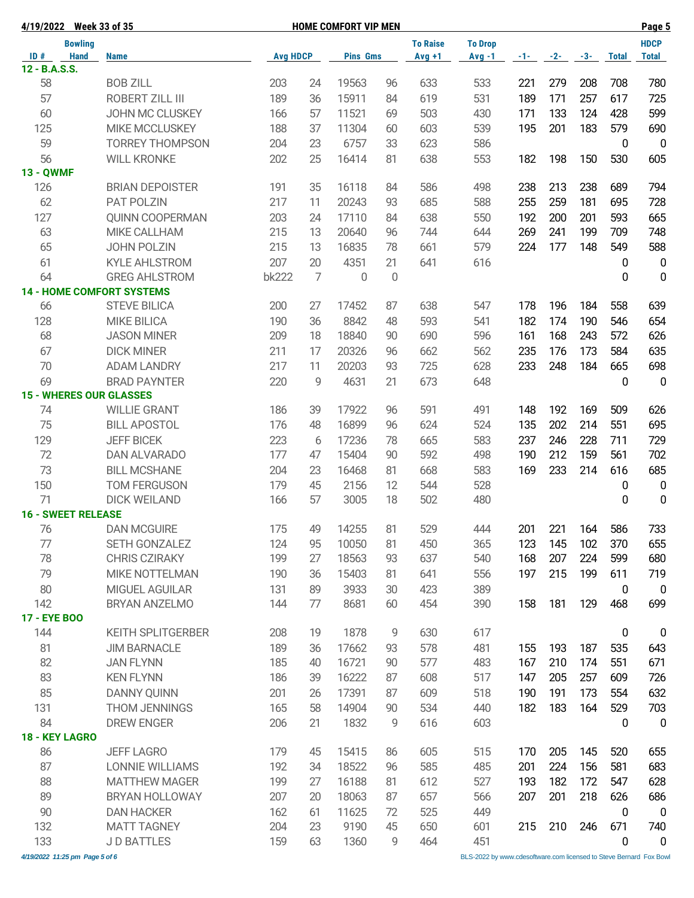| 4/19/2022 Week 33 of 35          |                          |                 | <b>HOME COMFORT VIP MEN</b> |                 |    | Page 5          |                |       |       |       |              |                  |
|----------------------------------|--------------------------|-----------------|-----------------------------|-----------------|----|-----------------|----------------|-------|-------|-------|--------------|------------------|
| <b>Bowling</b>                   |                          |                 |                             |                 |    | <b>To Raise</b> | <b>To Drop</b> |       |       |       |              | <b>HDCP</b>      |
| <b>Hand</b><br>ID#               | <b>Name</b>              | <b>Avg HDCP</b> |                             | <b>Pins Gms</b> |    | $Avg +1$        | $Avg -1$       | $-1-$ | $-2-$ | $-3-$ | <b>Total</b> | <b>Total</b>     |
| 12 - B.A.S.S.                    |                          |                 |                             |                 |    |                 |                |       |       |       |              |                  |
| 58                               | <b>BOB ZILL</b>          | 203             | 24                          | 19563           | 96 | 633             | 533            | 221   | 279   | 208   | 708          | 780              |
| 57                               | ROBERT ZILL III          | 189             | 36                          | 15911           | 84 | 619             | 531            | 189   | 171   | 257   | 617          | 725              |
| 60                               | JOHN MC CLUSKEY          | 166             | 57                          | 11521           | 69 | 503             | 430            | 171   | 133   | 124   | 428          | 599              |
| 125                              | <b>MIKE MCCLUSKEY</b>    | 188             | 37                          | 11304           | 60 | 603             | 539            | 195   | 201   | 183   | 579          | 690              |
| 59                               | <b>TORREY THOMPSON</b>   | 204             | 23                          | 6757            | 33 | 623             | 586            |       |       |       | $\mathbf 0$  | $\overline{0}$   |
| 56                               | <b>WILL KRONKE</b>       | 202             | 25                          | 16414           | 81 | 638             | 553            | 182   | 198   | 150   | 530          | 605              |
| <b>13 - QWMF</b>                 |                          |                 |                             |                 |    |                 |                |       |       |       |              |                  |
| 126                              | <b>BRIAN DEPOISTER</b>   | 191             | 35                          | 16118           | 84 | 586             | 498            | 238   | 213   | 238   | 689          | 794              |
| 62                               | PAT POLZIN               | 217             | 11                          | 20243           | 93 | 685             | 588            | 255   | 259   | 181   | 695          | 728              |
| 127                              | <b>QUINN COOPERMAN</b>   | 203             | 24                          | 17110           | 84 | 638             | 550            | 192   | 200   | 201   | 593          | 665              |
| 63                               | MIKE CALLHAM             | 215             | 13                          | 20640           | 96 | 744             | 644            | 269   | 241   | 199   | 709          | 748              |
|                                  |                          |                 |                             |                 |    |                 |                |       |       |       |              |                  |
| 65                               | <b>JOHN POLZIN</b>       | 215             | 13                          | 16835           | 78 | 661             | 579            | 224   | 177   | 148   | 549          | 588              |
| 61                               | <b>KYLE AHLSTROM</b>     | 207             | 20                          | 4351            | 21 | 641             | 616            |       |       |       | 0            | $\mathbf 0$      |
| 64                               | <b>GREG AHLSTROM</b>     | <b>bk222</b>    | $\overline{7}$              | $\mathbf{0}$    | 0  |                 |                |       |       |       | 0            | $\mathbf 0$      |
| <b>14 - HOME COMFORT SYSTEMS</b> |                          |                 |                             |                 |    |                 |                |       |       |       |              |                  |
| 66                               | <b>STEVE BILICA</b>      | 200             | 27                          | 17452           | 87 | 638             | 547            | 178   | 196   | 184   | 558          | 639              |
| 128                              | <b>MIKE BILICA</b>       | 190             | 36                          | 8842            | 48 | 593             | 541            | 182   | 174   | 190   | 546          | 654              |
| 68                               | <b>JASON MINER</b>       | 209             | 18                          | 18840           | 90 | 690             | 596            | 161   | 168   | 243   | 572          | 626              |
| 67                               | <b>DICK MINER</b>        | 211             | 17                          | 20326           | 96 | 662             | 562            | 235   | 176   | 173   | 584          | 635              |
| 70                               | <b>ADAM LANDRY</b>       | 217             | 11                          | 20203           | 93 | 725             | 628            | 233   | 248   | 184   | 665          | 698              |
| 69                               | <b>BRAD PAYNTER</b>      | 220             | 9                           | 4631            | 21 | 673             | 648            |       |       |       | 0            | $\mathbf 0$      |
| <b>15 - WHERES OUR GLASSES</b>   |                          |                 |                             |                 |    |                 |                |       |       |       |              |                  |
| 74                               | <b>WILLIE GRANT</b>      | 186             | 39                          | 17922           | 96 | 591             | 491            | 148   | 192   | 169   | 509          | 626              |
| 75                               | <b>BILL APOSTOL</b>      | 176             | 48                          | 16899           | 96 | 624             | 524            | 135   | 202   | 214   | 551          | 695              |
| 129                              | <b>JEFF BICEK</b>        | 223             | 6                           | 17236           | 78 | 665             | 583            | 237   | 246   | 228   | 711          | 729              |
| 72                               | DAN ALVARADO             | 177             | 47                          | 15404           | 90 | 592             | 498            | 190   | 212   | 159   | 561          | 702              |
| 73                               | <b>BILL MCSHANE</b>      | 204             | 23                          | 16468           | 81 | 668             | 583            | 169   | 233   | 214   | 616          | 685              |
| 150                              | <b>TOM FERGUSON</b>      | 179             | 45                          | 2156            | 12 | 544             | 528            |       |       |       | 0            | $\boldsymbol{0}$ |
| 71                               | <b>DICK WEILAND</b>      | 166             | 57                          | 3005            | 18 | 502             | 480            |       |       |       | 0            | 0                |
| <b>16 - SWEET RELEASE</b>        |                          |                 |                             |                 |    |                 |                |       |       |       |              |                  |
|                                  |                          |                 |                             |                 |    | 529             |                |       | 221   |       | 586          |                  |
| 76                               | <b>DAN MCGUIRE</b>       | 175             | 49                          | 14255           | 81 |                 | 444            | 201   |       | 164   |              | 733              |
| 77                               | SETH GONZALEZ            | 124             | 95                          | 10050           | 81 | 450             | 365            | 123   | 145   | 102   | 370          | 655              |
| 78                               | <b>CHRIS CZIRAKY</b>     | 199             | 27                          | 18563           | 93 | 637             | 540            | 168   | 207   | 224   | 599          | 680              |
| 79                               | MIKE NOTTELMAN           | 190             | 36                          | 15403           | 81 | 641             | 556            | 197   | 215   | 199   | 611          | 719              |
| 80                               | MIGUEL AGUILAR           | 131             | 89                          | 3933            | 30 | 423             | 389            |       |       |       | 0            | $\overline{0}$   |
| 142                              | BRYAN ANZELMO            | 144             | 77                          | 8681            | 60 | 454             | 390            | 158   | 181   | 129   | 468          | 699              |
| <b>17 - EYE BOO</b>              |                          |                 |                             |                 |    |                 |                |       |       |       |              |                  |
| 144                              | <b>KEITH SPLITGERBER</b> | 208             | 19                          | 1878            | 9  | 630             | 617            |       |       |       | 0            | $\boldsymbol{0}$ |
| 81                               | <b>JIM BARNACLE</b>      | 189             | 36                          | 17662           | 93 | 578             | 481            | 155   | 193   | 187   | 535          | 643              |
| 82                               | <b>JAN FLYNN</b>         | 185             | 40                          | 16721           | 90 | 577             | 483            | 167   | 210   | 174   | 551          | 671              |
| 83                               | <b>KEN FLYNN</b>         | 186             | 39                          | 16222           | 87 | 608             | 517            | 147   | 205   | 257   | 609          | 726              |
| 85                               | <b>DANNY QUINN</b>       | 201             | 26                          | 17391           | 87 | 609             | 518            | 190   | 191   | 173   | 554          | 632              |
| 131                              | <b>THOM JENNINGS</b>     | 165             | 58                          | 14904           | 90 | 534             | 440            | 182   | 183   | 164   | 529          | 703              |
| 84                               | DREW ENGER               | 206             | 21                          | 1832            | 9  | 616             | 603            |       |       |       | 0            | $\mathbf 0$      |
| 18 - KEY LAGRO                   |                          |                 |                             |                 |    |                 |                |       |       |       |              |                  |
| 86                               | <b>JEFF LAGRO</b>        | 179             | 45                          | 15415           | 86 | 605             | 515            | 170   | 205   | 145   | 520          | 655              |
| 87                               | <b>LONNIE WILLIAMS</b>   | 192             | 34                          | 18522           | 96 | 585             | 485            | 201   | 224   | 156   | 581          | 683              |
| 88                               | <b>MATTHEW MAGER</b>     | 199             | 27                          | 16188           | 81 | 612             | 527            | 193   | 182   | 172   | 547          | 628              |
| 89                               | <b>BRYAN HOLLOWAY</b>    | 207             | 20                          | 18063           | 87 | 657             | 566            | 207   | 201   | 218   | 626          | 686              |
|                                  |                          |                 |                             |                 |    |                 |                |       |       |       |              |                  |
| 90                               | <b>DAN HACKER</b>        | 162             | 61                          | 11625           | 72 | 525             | 449            |       |       |       | $\mathbf 0$  | $\mathbf 0$      |
| 132                              | <b>MATT TAGNEY</b>       | 204             | 23                          | 9190            | 45 | 650             | 601            | 215   | 210   | 246   | 671          | 740              |
| 133                              | <b>JD BATTLES</b>        | 159             | 63                          | 1360            | 9  | 464             | 451            |       |       |       | 0            | $\pmb{0}$        |